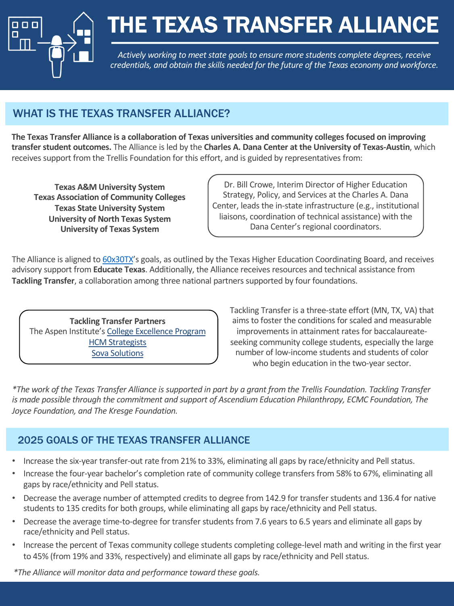

# THE TEXAS TRANSFER ALLIANCE

*Actively working to meet state goals to ensure more students complete degrees, receive credentials, and obtain the skills needed for the future of the Texas economy and workforce.* 

# WHAT IS THE TEXAS TRANSFER ALLIANCE?

**The Texas Transfer Alliance is a collaboration of Texas universities and community colleges focused on improving transfer student outcomes.** The Alliance is led by the **Charles A. Dana Center at the University of Texas-Austin**, which receives support from the Trellis Foundation for this effort, and is guided by representatives from:

**Texas A&M University System Texas Association of Community Colleges Texas State University System University of North Texas System University of Texas System**

Dr. Bill Crowe, Interim Director of Higher Education Strategy, Policy, and Services at the Charles A. Dana Center, leads the in-state infrastructure (e.g., institutional liaisons, coordination of technical assistance) with the Dana Center's regional coordinators.

The Alliance is aligned to [60x30TX'](http://www.60x30tx.com/)s goals, as outlined by the Texas Higher Education Coordinating Board, and receives advisory support from **Educate Texas**. Additionally, the Alliance receives resources and technical assistance from **Tackling Transfer**, a collaboration among three national partners supported by four foundations.

**Tackling Transfer Partners** The Aspen Institute's [College Excellence Program](http://collegeexcellence.aspeninstitute.org/) [HCM Strategists](http://hcmstrategists.com/) [Sova Solutions](https://www.sovasolutions.org/)

Tackling Transfer is a three-state effort (MN, TX, VA) that aims to foster the conditions for scaled and measurable improvements in attainment rates for baccalaureateseeking community college students, especially the large number of low-income students and students of color who begin education in the two-year sector.

*\*The work of the Texas Transfer Alliance is supported in part by a grant from the Trellis Foundation. Tackling Transfer is made possible through the commitment and support of Ascendium Education Philanthropy, ECMC Foundation, The Joyce Foundation, and The Kresge Foundation.*

# 2025 GOALS OF THE TEXAS TRANSFER ALLIANCE

- Increase the six-year transfer-out rate from 21% to 33%, eliminating all gaps by race/ethnicity and Pell status.
- Increase the four-year bachelor's completion rate of community college transfers from 58% to 67%, eliminating all gaps by race/ethnicity and Pell status.
- Decrease the average number of attempted credits to degree from 142.9 for transfer students and 136.4 for native students to 135 credits for both groups, while eliminating all gaps by race/ethnicity and Pell status.
- Decrease the average time-to-degree for transfer students from 7.6 years to 6.5 years and eliminate all gaps by race/ethnicity and Pell status.
- Increase the percent of Texas community college students completing college-level math and writing in the first year to 45% (from 19% and 33%, respectively) and eliminate all gaps by race/ethnicity and Pell status.

*\*The Alliance will monitor data and performance toward these goals.*